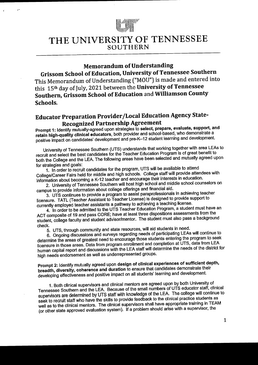

 $\epsilon$ 

# THE UNIVERSITY OF TENNESSEE **SOUTHERN**

### **Memorandum of Understanding**

Grissom School of Education, University of Tennessee Southern This Memorandum of Understanding ("MOU") is made and entered into this 15<sup>th</sup> day of July, 2021 between the University of Tennessee Southern, Grissom School of Education and Williamson County Schools.

## Educator Preparation Provider/Local Education Agency State-**Recognized Partnership Agreement**

Prompt 1: Identify mutually-agreed upon strategies to select, prepare, evaluate, support, and retain high-quality clinical educators, both provider and school-based, who demonstrate a positive impact on candidates' development and pre-K-12 student learning and development.

University of Tennessee Southern (UTS) understands that working together with area LEAs to recruit and select the best candidates for the Teacher Education Program is of great benefit to both the College and the LEA. The following areas have been selected and mutually agreed upon for strategies and goals:

1. In order to recruit candidates for the program, UTS will be available to attend College/Career Fairs held for middle and high schools. College staff will provide attendees with information about becoming a K-12 teacher and encourage their interests in education.

2. University of Tennessee Southern will host high school and middle school counselors on campus to provide information about college offerings and financial aid.

3. UTS continues to provide a program to assist paraprofessionals in achieving teacher licensure. TATL (Teacher Assistant to Teacher License) is designed to provide support to currently employed teacher assistants a pathway to achieving a teaching license.

4. In order to be admitted to the UTS Teacher Education Program, a student must have an ACT composite of 19 and pass CORE; have at least three dispositions assessments from the student, college faculty and student advisor/mentor. The student must also pass a background check.

5. UTS, through community and state resources, will aid students in need.

6. Ongoing discussions and surveys regarding needs of participating LEAs will continue to determine the areas of greatest need to encourage those students entering the program to seek licensure in those areas. Data from program enrollment and completion at UTS, data from LEA human capital report and discussions with the LEA staff will determine the needs of the district for high needs endorsement as well as underrepresented groups.

Prompt 2: Identify mutually agreed upon design of clinical experiences of sufficient depth, breadth, diversity, coherence and duration to ensure that candidates demonstrate their developing effectiveness and positive impact on all students' learning and development.

1. Both clinical supervisors and clinical mentors are agreed upon by both University of Tennessee Southern and the LEA. Because of the small numbers of UTS educator staff, clinical supervisors are determined by UTS staff with knowledge of the LEA. The college will continue to seek to recruit staff who have the skills to provide feedback to the clinical practice students as well as to the clinical mentors. The clinical supervisors shall have appropriate training in TEAM (or other state approved evaluation system). If a problem should arise with a supervisor, the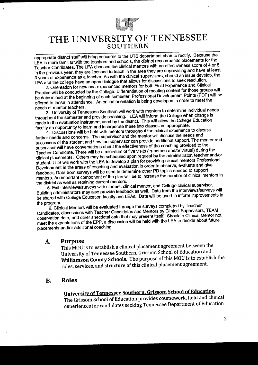

appropriate district staff will bring concerns to the UTS department chair to rectify. Because the LEA is more familiar with the teachers and schools, the district recommends placements for the Teacher Candidates. The LEA chooses the clinical mentors with an effectiveness score of 4 or 5 in the previous year, they are licensed to teach in the area they are supervising and have at least 3 years of experience as a teacher. As with the clinical supervisors, should an issue develop, the LEA and the college have an open dialogue that allows for discussions to seek resolution.

2. Orientation for new and experienced mentors for both Field Experience and Clinical Practice will be conducted by the College. Differentiation of meeting content for those groups will be determined at the beginning of each semester. Professional Development Points (PDP) will be offered to those in attendance. An online orientation is being developed in order to meet the needs of mentor teachers.

3. University of Tennessee Southern will work with mentors to determine individual needs throughout the semester and provide coaching. LEA will inform the College when change is made in the evaluation instrument used by the district. This will allow the College Education faculty an opportunity to learn and incorporate these into classes as appropriate.

4. Discussions will be held with mentors throughout the clinical experience to discuss further needs and concerns. The supervisor and the mentor will discuss the needs and successes of the student and how the supervisor can provide additional support. The mentor and supervisor will have conversations about the effectiveness of the coaching provided to the Teacher Candidate. There will be a minimum of five visits (in-person and/or virtual) during the clinical placements. Others may be scheduled upon request by the administrator, teacher and/or student. UTS will work with the LEA to develop a plan for providing clinical mentors Professional Development in the areas of coaching and evaluation in order to observe, evaluate and give feedback. Data from surveys will be used to determine other PD topics needed to support mentors. An important component of the plan will be to increase the number of clinical mentors in the district as well as retaining current mentors.

5. Exit interviews/surveys with student, clinical mentor, and College clinical supervisor. Building administrators may also provide feedback as well. Data from the interviews/surveys will be shared with College Education faculty and LEAs. Data will be used to inform improvements in the program.

6. Clinical Mentors will be evaluated through the surveys completed by Teacher Candidates, discussions with Teacher Candidates and Mentors by Clinical Supervisors, TEAM observation data, and other anecdotal data that may present itself. Should a Clinical Mentor not meet the expectations of the EPP, a discussion will be held with the LEA to decide about future placements and/or additional coaching.

#### **Purpose** A.

 $\ddot{\phantom{a}}$ 

This MOU is to establish a clinical placement agreement between the University of Tennessee Southern, Grissom School of Education and Williamson County Schools. The purpose of this MOU is to establish the roles, services, and structure of this clinical placement agreement.

#### **Roles B.**

# University of Tennessee Southern, Grissom School of Education

The Grissom School of Education provides coursework, field and clinical experiences for candidates seeking Tennessee Department of Education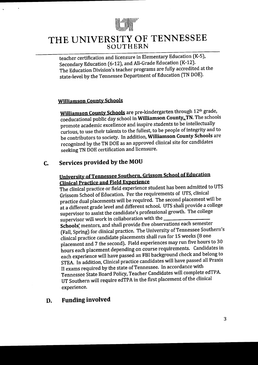

teacher certification and licensure in Elementary Education (K-5), Secondary Education (6-12), and All-Grade Education (K-12). The Education Division's teacher programs are fully accredited at the state-level by the Tennessee Department of Education (TN DOE).

#### **Williamson County Schools**

 $\mathbf{A}$ 

Williamson County Schools are pre-kindergarten through 12th grade, coeducational public day school in Williamson County, TN. The schools promote academic excellence and inspire students to be intellectually curious, to use their talents to the fullest, to be people of integrity and to be contributors to society. In addition, Williamson County Schools are recognized by the TN DOE as an approved clinical site for candidates seeking TN DOE certification and licensure.

#### Services provided by the MOU  $C_{\bullet}$

### University of Tennessee Southern, Grissom School of Education **Clinical Practice and Field Experience**

The clinical practice or field experience student has been admitted to UTS Grissom School of Education. Per the requirements of UTS, clinical practice dual placements will be required. The second placement will be at a different grade level and different school. UTS shall provide a college supervisor to assist the candidate's professional growth. The college supervisor will work in collaboration with the

Schools' mentors, and shall provide five observations each semester (Fall, Spring) for clinical practice. The University of Tennessee Southern's clinical practice candidate placements shall run for 15 weeks (8 one placement and 7 the second). Field experiences may run five hours to 30 hours each placement depending on course requirements. Candidates in each experience will have passed an FBI background check and belong to STEA. In addition, Clinical practice candidates will have passed all Praxis II exams required by the state of Tennessee. In accordance with Tennessee State Board Policy, Teacher Candidates will complete edTPA. UT Southern will require edTPA in the first placement of the clinical experience.

#### **Funding involved** D.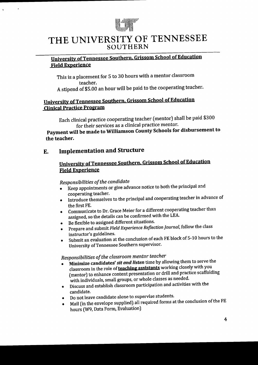

#### University of Tennessee Southern, Grissom School of Education Field Experience

This is a placement for 5 to 30 hours with a mentor classroom teacher. A stipend of \$5.00 an hour will be paid to the cooperating teacher.

#### University of Tennessee Southern. Gris\$om School of Education Clinical Practice Program

Each clinical practice cooperating teacher (mentor) shall be paid \$300 for their services as a clinical practice mentor.

Payment will be made to Williamson County Schools for disbursement to the teacher.

### E, ImPlementation and Structure

 $\sim$ 

#### University of Tennessee Southern, Grissom School of Education Field Experience

#### Responsibilities of the candidate

- o I(eep appointments or give advance notice to both the principal and cooperating teacher.
- o Introduce themselves to the principal and cooperating teacher in advauce of the first FE,
- o Communicate to Dr.. Grace Meier for a different cooperating teacher than assigned, so the details can be confirmed with the LEA.
- Be flexible to assigned different situations.
- Prepare and submit Field Experience Reflection Journal, follow the class instructor's guidelines.
- Submit an evaluation at the conclusion of each FE block of 5-10 hours to the University of Tennessee Southern supervisor'

### Responsibilities of the classroom mentor teacher

- Minimize candidates' sit and listen time by allowing them to serve the classroom in the role of **teaching assistants** working closely with you (mentor) to enhance content presentation or drill and practice scaffolding with individuals, small groups, or whole classes as needed.
- Discuss and establish classroom participation and activities with the candidate.
- **•** Do not leave candidate alone to supervise students.
- $\bullet$  Mail (in the envelope supplied) all required forms at the conclusion of the FE hours (W9, Data Form, Evaluation)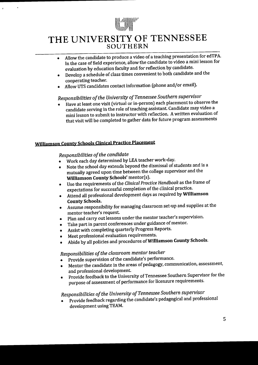

- o Allow the candidate to produce a video of a teaching presentation for edTPA, In the case of field experience, allow the candidate to video a mini lesson for evaluation by education faculty and for reflection by candidate.
- o Develop a scledule of class tinres convenient to both candidate and the cooperating teacher.
- Allow UTS candidates contact information (phone and/or email).

## Responsibilities of the University of Tennessee Southern supervisor

Have at least one visit (virtual or in-person) each placement to observe the candidate serving in the role of teaching assistant. Candidate may video a mini lesson to submit to instructor with reflection. A written evaluation of that visit will be completed to gather data for future program assessments

#### **Williamson County Schools Clinical Practice Placement**

 $\ddot{\phantom{a}}$ 

#### Responsibilities of the candidate

- Work each day determined by LEA teacher work-day.
- e Note the school day exteuds beyond the distnissal of students and is <sup>a</sup> mutually agreed upon time between the college supervisor and the Williamson County Schools' mentor(s).
- $\bullet$  Use the requirements of the Clinical Practice Handbook as the frame of expectations for successful completion of the clinical practice.
- . Atiend all professional developnent days as required by wlliamson County Schools.
- o Assume responsibility for managing classroom set'up and supplies at the mentor teacher's request.
- Plan and carry out lessons under the mentor teacher's supervision.
- Take part in parent conferences under guidance of mentor.
- **e** Assist with completing quarterly Progress Reports.
- $\bullet$  Meet professional evaluation requirements.
- Abide by all policies and procedures of Williamson County Schools.

### Responsibilities of the classroom mentor teacher

- . ponsibilities by the classroom menter concrete.
- $\bullet$  Mentor the candidate in the areas of pedagogy, communication, assessment, and professional development.
- o Provide feedback to the University of Tennessee Southern Supervisor for the purpose of assessment of performance for licensure requirements.

# Responsibilities of the University of Tennessee Southern supervisor

Provide feedback regarding the candidate's pedagogical and professional development using TEAM.